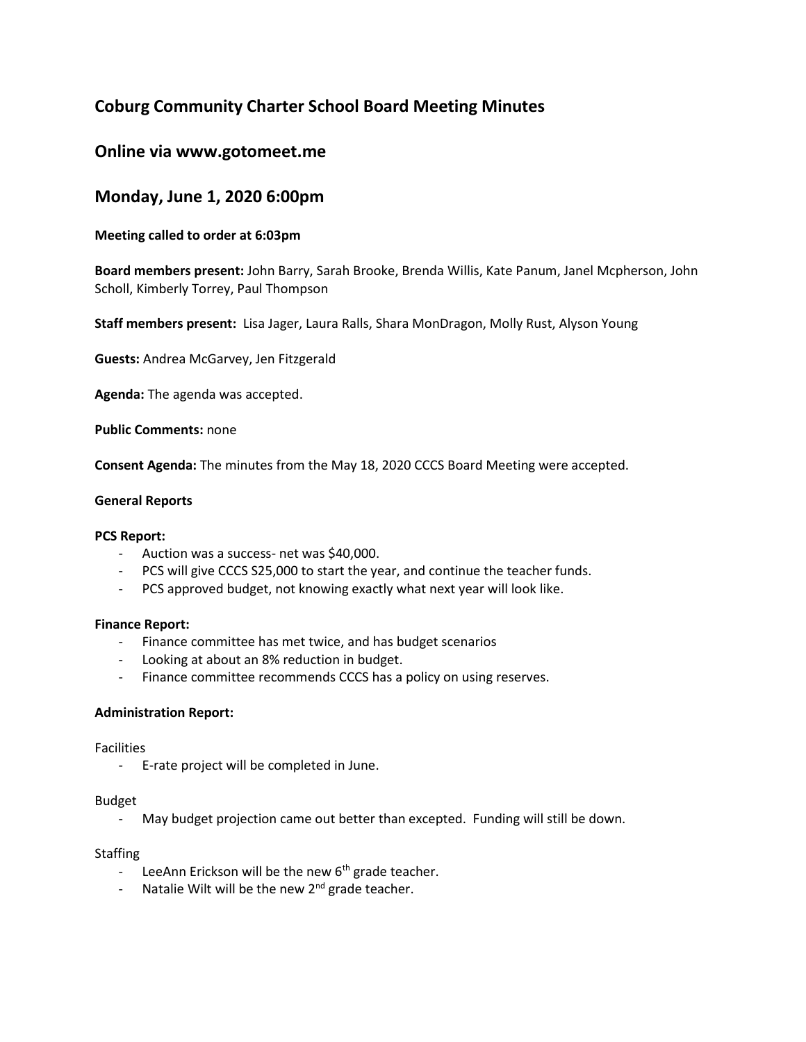# **Coburg Community Charter School Board Meeting Minutes**

## **Online via www.gotomeet.me**

## **Monday, June 1, 2020 6:00pm**

## **Meeting called to order at 6:03pm**

**Board members present:** John Barry, Sarah Brooke, Brenda Willis, Kate Panum, Janel Mcpherson, John Scholl, Kimberly Torrey, Paul Thompson

**Staff members present:** Lisa Jager, Laura Ralls, Shara MonDragon, Molly Rust, Alyson Young

**Guests:** Andrea McGarvey, Jen Fitzgerald

**Agenda:** The agenda was accepted.

**Public Comments:** none

**Consent Agenda:** The minutes from the May 18, 2020 CCCS Board Meeting were accepted.

#### **General Reports**

#### **PCS Report:**

- Auction was a success- net was \$40,000.
- PCS will give CCCS S25,000 to start the year, and continue the teacher funds.
- PCS approved budget, not knowing exactly what next year will look like.

#### **Finance Report:**

- Finance committee has met twice, and has budget scenarios
- Looking at about an 8% reduction in budget.
- Finance committee recommends CCCS has a policy on using reserves.

#### **Administration Report:**

**Facilities** 

- E-rate project will be completed in June.

#### Budget

- May budget projection came out better than excepted. Funding will still be down.

#### Staffing

- LeeAnn Erickson will be the new  $6<sup>th</sup>$  grade teacher.
- Natalie Wilt will be the new  $2^{nd}$  grade teacher.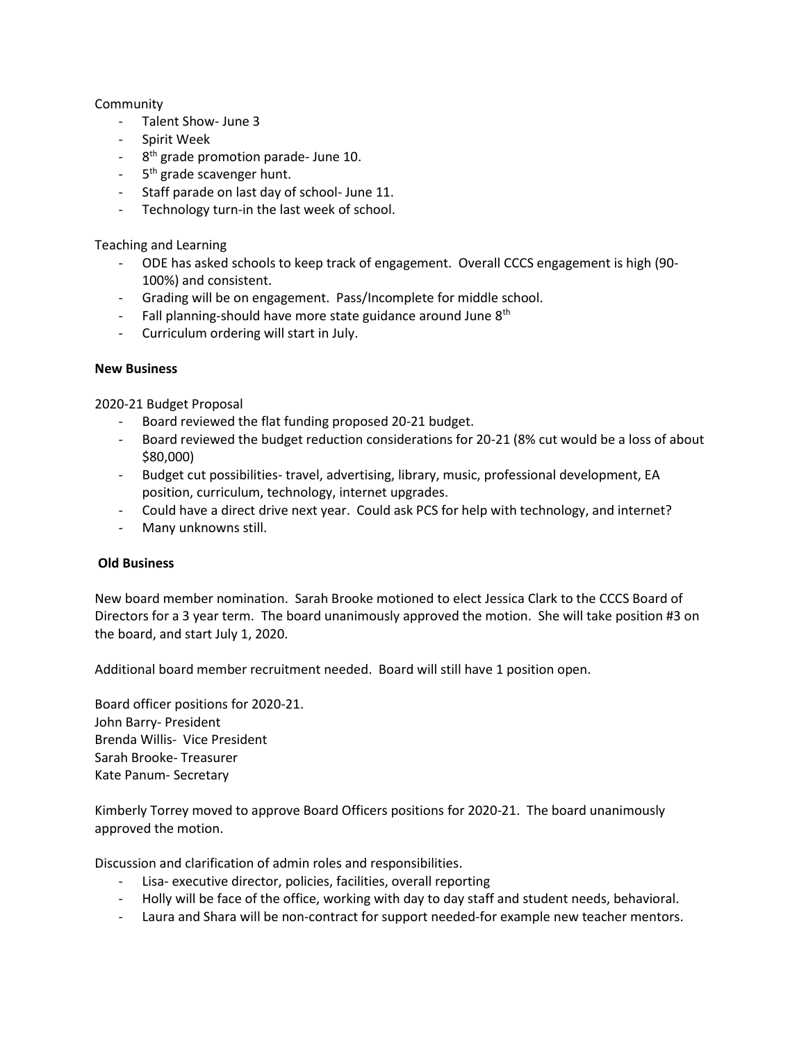## **Community**

- Talent Show- June 3
- Spirit Week
- 8<sup>th</sup> grade promotion parade- June 10.
- 5<sup>th</sup> grade scavenger hunt.
- Staff parade on last day of school- June 11.
- Technology turn-in the last week of school.

## Teaching and Learning

- ODE has asked schools to keep track of engagement. Overall CCCS engagement is high (90- 100%) and consistent.
- Grading will be on engagement. Pass/Incomplete for middle school.
- $-$  Fall planning-should have more state guidance around June  $8<sup>th</sup>$
- Curriculum ordering will start in July.

### **New Business**

2020-21 Budget Proposal

- Board reviewed the flat funding proposed 20-21 budget.
- Board reviewed the budget reduction considerations for 20-21 (8% cut would be a loss of about \$80,000)
- Budget cut possibilities- travel, advertising, library, music, professional development, EA position, curriculum, technology, internet upgrades.
- Could have a direct drive next year. Could ask PCS for help with technology, and internet?
- Many unknowns still.

### **Old Business**

New board member nomination. Sarah Brooke motioned to elect Jessica Clark to the CCCS Board of Directors for a 3 year term. The board unanimously approved the motion. She will take position #3 on the board, and start July 1, 2020.

Additional board member recruitment needed. Board will still have 1 position open.

Board officer positions for 2020-21. John Barry- President Brenda Willis- Vice President Sarah Brooke- Treasurer Kate Panum- Secretary

Kimberly Torrey moved to approve Board Officers positions for 2020-21. The board unanimously approved the motion.

Discussion and clarification of admin roles and responsibilities.

- Lisa- executive director, policies, facilities, overall reporting
- Holly will be face of the office, working with day to day staff and student needs, behavioral.
- Laura and Shara will be non-contract for support needed-for example new teacher mentors.